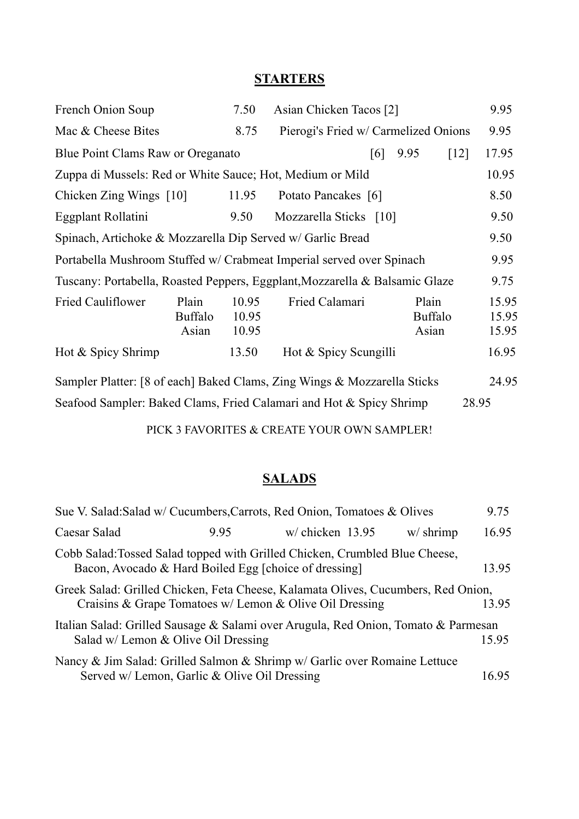## **STARTERS**

| French Onion Soup                                                           |                                  | 7.50                    | Asian Chicken Tacos [2]              |                                  | 9.95                    |
|-----------------------------------------------------------------------------|----------------------------------|-------------------------|--------------------------------------|----------------------------------|-------------------------|
| Mac & Cheese Bites                                                          |                                  | 8.75                    | Pierogi's Fried w/ Carmelized Onions |                                  | 9.95                    |
| Blue Point Clams Raw or Oreganato                                           |                                  |                         | [6]                                  | 9.95<br>$\lceil 12 \rceil$       | 17.95                   |
| Zuppa di Mussels: Red or White Sauce; Hot, Medium or Mild                   |                                  |                         |                                      |                                  | 10.95                   |
| Chicken Zing Wings $[10]$                                                   |                                  | 11.95                   | Potato Pancakes [6]                  |                                  | 8.50                    |
| Eggplant Rollatini                                                          |                                  | 9.50                    | Mozzarella Sticks [10]               |                                  | 9.50                    |
| Spinach, Artichoke & Mozzarella Dip Served w/ Garlic Bread                  |                                  |                         |                                      | 9.50                             |                         |
| Portabella Mushroom Stuffed w/ Crabmeat Imperial served over Spinach        |                                  |                         |                                      | 9.95                             |                         |
| Tuscany: Portabella, Roasted Peppers, Eggplant, Mozzarella & Balsamic Glaze |                                  |                         |                                      | 9.75                             |                         |
| <b>Fried Cauliflower</b>                                                    | Plain<br><b>Buffalo</b><br>Asian | 10.95<br>10.95<br>10.95 | Fried Calamari                       | Plain<br><b>Buffalo</b><br>Asian | 15.95<br>15.95<br>15.95 |
| Hot & Spicy Shrimp                                                          |                                  | 13.50                   | Hot & Spicy Scungilli                |                                  | 16.95                   |
| Sampler Platter: [8 of each] Baked Clams, Zing Wings & Mozzarella Sticks    |                                  |                         |                                      |                                  | 24.95                   |
| Seafood Sampler: Baked Clams, Fried Calamari and Hot & Spicy Shrimp         |                                  |                         |                                      | 28.95                            |                         |

PICK 3 FAVORITES & CREATE YOUR OWN SAMPLER!

## **SALADS**

|                                                       |      | Sue V. Salad:Salad w/ Cucumbers, Carrots, Red Onion, Tomatoes & Olives                                                                       |             | 9.75  |
|-------------------------------------------------------|------|----------------------------------------------------------------------------------------------------------------------------------------------|-------------|-------|
| Caesar Salad                                          | 9.95 | $w/$ chicken 13.95                                                                                                                           | $w/$ shrimp | 16.95 |
| Bacon, Avocado & Hard Boiled Egg [choice of dressing] |      | Cobb Salad: Tossed Salad topped with Grilled Chicken, Crumbled Blue Cheese,                                                                  |             | 13.95 |
|                                                       |      | Greek Salad: Grilled Chicken, Feta Cheese, Kalamata Olives, Cucumbers, Red Onion,<br>Craisins & Grape Tomatoes w/ Lemon & Olive Oil Dressing |             | 13.95 |
| Salad w/ Lemon & Olive Oil Dressing                   |      | Italian Salad: Grilled Sausage & Salami over Arugula, Red Onion, Tomato & Parmesan                                                           |             | 15.95 |
| Served w/ Lemon, Garlic & Olive Oil Dressing          |      | Nancy & Jim Salad: Grilled Salmon & Shrimp w/ Garlic over Romaine Lettuce                                                                    |             | 16.95 |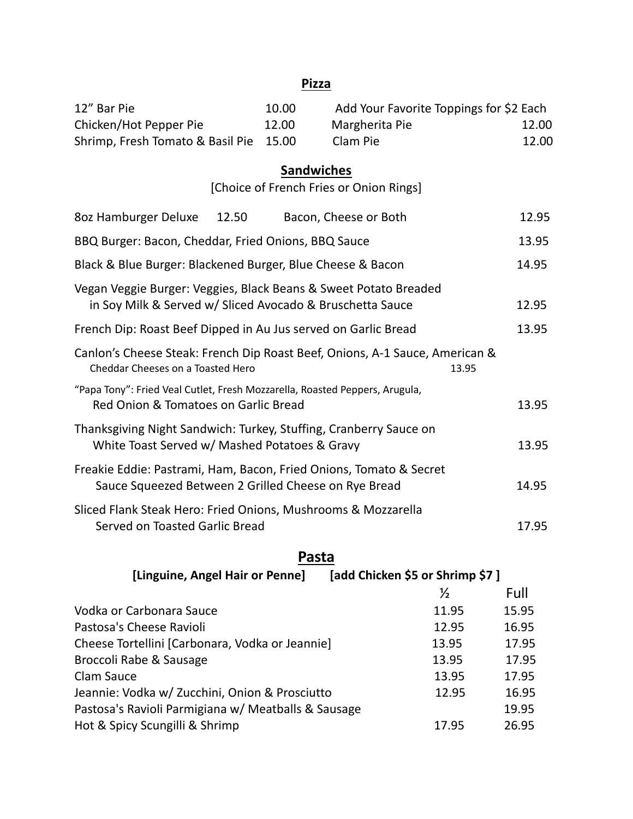#### **Pizza**

| 12" Bar Pie                            | 10.00 | Add Your Favorite Toppings for \$2 Each |       |
|----------------------------------------|-------|-----------------------------------------|-------|
| Chicken/Hot Pepper Pie                 | 12.00 | Margherita Pie                          | 12.00 |
| Shrimp, Fresh Tomato & Basil Pie 15.00 |       | Clam Pie                                | 12.00 |

## **Sandwiches**

[Choice of French Fries or Onion Rings]

| 8oz Hamburger Deluxe<br>12.50<br>Bacon, Cheese or Both                                                                        | 12.95 |
|-------------------------------------------------------------------------------------------------------------------------------|-------|
| BBQ Burger: Bacon, Cheddar, Fried Onions, BBQ Sauce                                                                           | 13.95 |
| Black & Blue Burger: Blackened Burger, Blue Cheese & Bacon                                                                    | 14.95 |
| Vegan Veggie Burger: Veggies, Black Beans & Sweet Potato Breaded<br>in Soy Milk & Served w/ Sliced Avocado & Bruschetta Sauce | 12.95 |
| French Dip: Roast Beef Dipped in Au Jus served on Garlic Bread                                                                | 13.95 |
| Canlon's Cheese Steak: French Dip Roast Beef, Onions, A-1 Sauce, American &<br>Cheddar Cheeses on a Toasted Hero<br>13.95     |       |
| "Papa Tony": Fried Veal Cutlet, Fresh Mozzarella, Roasted Peppers, Arugula,<br>Red Onion & Tomatoes on Garlic Bread           | 13.95 |
| Thanksgiving Night Sandwich: Turkey, Stuffing, Cranberry Sauce on<br>White Toast Served w/ Mashed Potatoes & Gravy            | 13.95 |
| Freakie Eddie: Pastrami, Ham, Bacon, Fried Onions, Tomato & Secret<br>Sauce Squeezed Between 2 Grilled Cheese on Rye Bread    | 14.95 |
| Sliced Flank Steak Hero: Fried Onions, Mushrooms & Mozzarella<br>Served on Toasted Garlic Bread                               | 17.95 |

## **Pasta**

**[Linguine, Angel Hair or Penne] [add Chicken \$5 or Shrimp \$7 ]**

|                                                     | ⅓     | Full  |
|-----------------------------------------------------|-------|-------|
| Vodka or Carbonara Sauce                            | 11.95 | 15.95 |
| Pastosa's Cheese Ravioli                            | 12.95 | 16.95 |
| Cheese Tortellini [Carbonara, Vodka or Jeannie]     | 13.95 | 17.95 |
| Broccoli Rabe & Sausage                             | 13.95 | 17.95 |
| Clam Sauce                                          | 13.95 | 17.95 |
| Jeannie: Vodka w/ Zucchini, Onion & Prosciutto      | 12.95 | 16.95 |
| Pastosa's Ravioli Parmigiana w/ Meatballs & Sausage |       | 19.95 |
| Hot & Spicy Scungilli & Shrimp                      | 17.95 | 26.95 |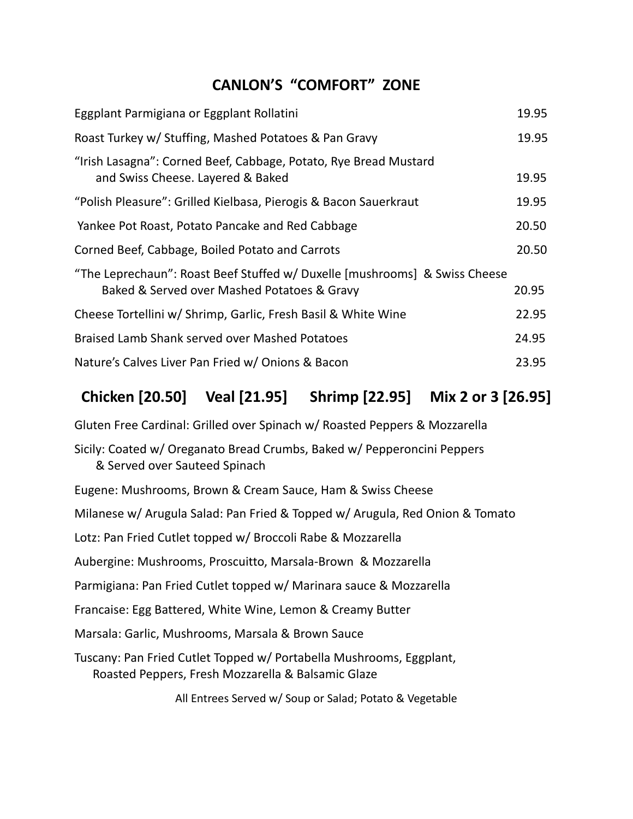## **CANLON'S "COMFORT" ZONE**

| Eggplant Parmigiana or Eggplant Rollatini                                                                                 | 19.95 |
|---------------------------------------------------------------------------------------------------------------------------|-------|
| Roast Turkey w/ Stuffing, Mashed Potatoes & Pan Gravy                                                                     | 19.95 |
| "Irish Lasagna": Corned Beef, Cabbage, Potato, Rye Bread Mustard<br>and Swiss Cheese. Layered & Baked                     | 19.95 |
| "Polish Pleasure": Grilled Kielbasa, Pierogis & Bacon Sauerkraut                                                          | 19.95 |
| Yankee Pot Roast, Potato Pancake and Red Cabbage                                                                          | 20.50 |
| Corned Beef, Cabbage, Boiled Potato and Carrots                                                                           | 20.50 |
| "The Leprechaun": Roast Beef Stuffed w/ Duxelle [mushrooms] & Swiss Cheese<br>Baked & Served over Mashed Potatoes & Gravy | 20.95 |
| Cheese Tortellini w/ Shrimp, Garlic, Fresh Basil & White Wine                                                             | 22.95 |
| <b>Braised Lamb Shank served over Mashed Potatoes</b>                                                                     | 24.95 |
| Nature's Calves Liver Pan Fried w/ Onions & Bacon                                                                         | 23.95 |

# **Chicken [20.50] Veal [21.95] Shrimp [22.95] Mix 2 or 3 [26.95]**

Gluten Free Cardinal: Grilled over Spinach w/ Roasted Peppers & Mozzarella

Sicily: Coated w/ Oreganato Bread Crumbs, Baked w/ Pepperoncini Peppers & Served over Sauteed Spinach

Eugene: Mushrooms, Brown & Cream Sauce, Ham & Swiss Cheese Milanese w/ Arugula Salad: Pan Fried & Topped w/ Arugula, Red Onion & Tomato Lotz: Pan Fried Cutlet topped w/ Broccoli Rabe & Mozzarella Aubergine: Mushrooms, Proscuitto, Marsala-Brown & Mozzarella Parmigiana: Pan Fried Cutlet topped w/ Marinara sauce & Mozzarella Francaise: Egg Battered, White Wine, Lemon & Creamy Butter Marsala: Garlic, Mushrooms, Marsala & Brown Sauce Tuscany: Pan Fried Cutlet Topped w/ Portabella Mushrooms, Eggplant, Roasted Peppers, Fresh Mozzarella & Balsamic Glaze

All Entrees Served w/ Soup or Salad; Potato & Vegetable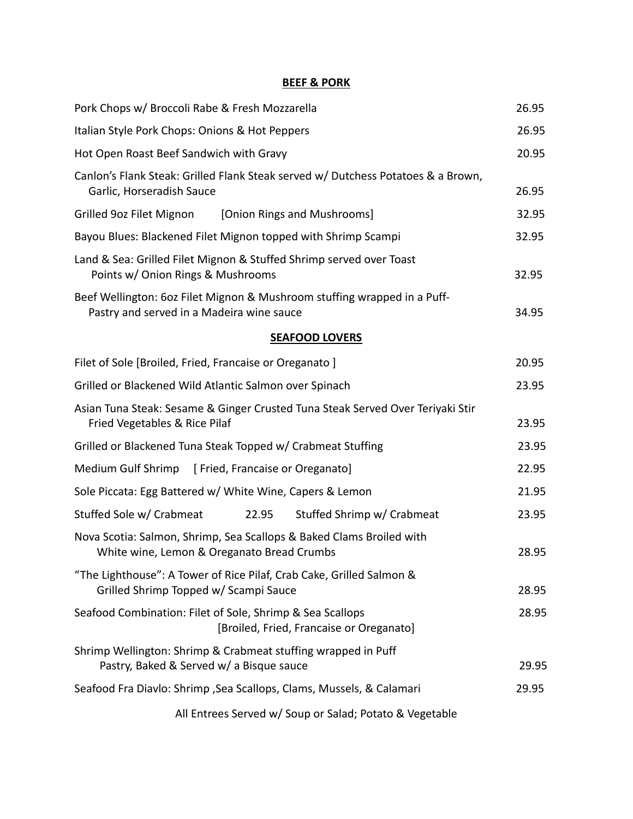#### **BEEF & PORK**

| Pork Chops w/ Broccoli Rabe & Fresh Mozzarella                                                                        |       |  |
|-----------------------------------------------------------------------------------------------------------------------|-------|--|
| Italian Style Pork Chops: Onions & Hot Peppers                                                                        |       |  |
| Hot Open Roast Beef Sandwich with Gravy                                                                               | 20.95 |  |
| Canlon's Flank Steak: Grilled Flank Steak served w/ Dutchess Potatoes & a Brown,<br>Garlic, Horseradish Sauce         | 26.95 |  |
| [Onion Rings and Mushrooms]<br>Grilled 9oz Filet Mignon                                                               | 32.95 |  |
| Bayou Blues: Blackened Filet Mignon topped with Shrimp Scampi                                                         | 32.95 |  |
| Land & Sea: Grilled Filet Mignon & Stuffed Shrimp served over Toast<br>Points w/ Onion Rings & Mushrooms              | 32.95 |  |
| Beef Wellington: 6oz Filet Mignon & Mushroom stuffing wrapped in a Puff-<br>Pastry and served in a Madeira wine sauce | 34.95 |  |
| <b>SEAFOOD LOVERS</b>                                                                                                 |       |  |
| Filet of Sole [Broiled, Fried, Francaise or Oreganato]                                                                | 20.95 |  |
| Grilled or Blackened Wild Atlantic Salmon over Spinach                                                                | 23.95 |  |
| Asian Tuna Steak: Sesame & Ginger Crusted Tuna Steak Served Over Teriyaki Stir<br>Fried Vegetables & Rice Pilaf       | 23.95 |  |
| Grilled or Blackened Tuna Steak Topped w/ Crabmeat Stuffing                                                           | 23.95 |  |
| Medium Gulf Shrimp [ Fried, Francaise or Oreganato]                                                                   | 22.95 |  |
| Sole Piccata: Egg Battered w/ White Wine, Capers & Lemon                                                              | 21.95 |  |
| Stuffed Sole w/ Crabmeat<br>Stuffed Shrimp w/ Crabmeat<br>22.95                                                       | 23.95 |  |
| Nova Scotia: Salmon, Shrimp, Sea Scallops & Baked Clams Broiled with<br>White wine, Lemon & Oreganato Bread Crumbs    | 28.95 |  |
| "The Lighthouse": A Tower of Rice Pilaf, Crab Cake, Grilled Salmon &<br>Grilled Shrimp Topped w/ Scampi Sauce         | 28.95 |  |
| Seafood Combination: Filet of Sole, Shrimp & Sea Scallops<br>[Broiled, Fried, Francaise or Oreganato]                 | 28.95 |  |
| Shrimp Wellington: Shrimp & Crabmeat stuffing wrapped in Puff<br>Pastry, Baked & Served w/ a Bisque sauce             | 29.95 |  |
| Seafood Fra Diavlo: Shrimp , Sea Scallops, Clams, Mussels, & Calamari                                                 |       |  |
| All Entrees Served w/ Soup or Salad; Potato & Vegetable                                                               |       |  |